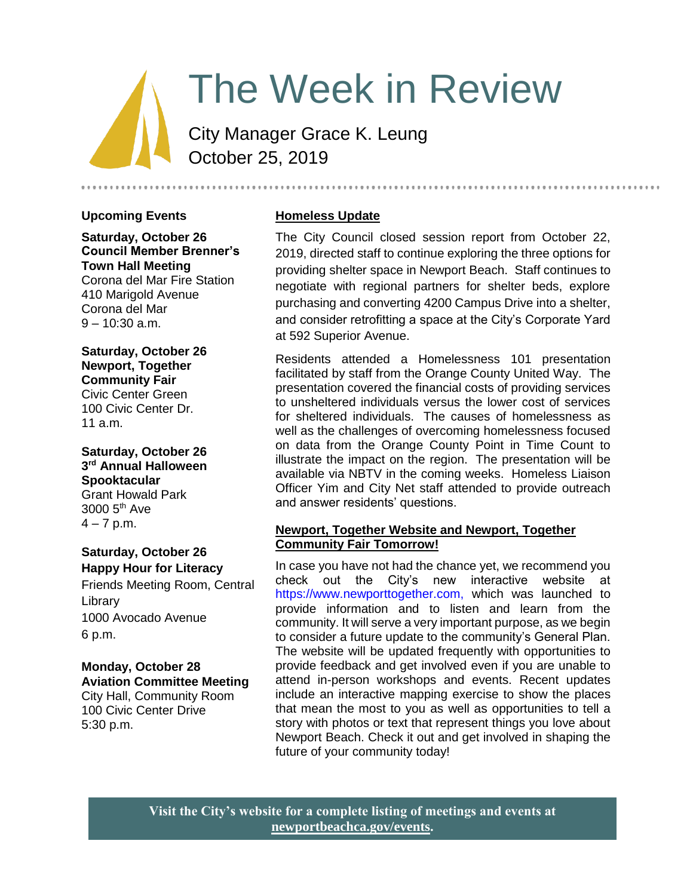# The Week in Review

City Manager Grace K. Leung October 25, 2019

#### **Upcoming Events**

**Saturday, October 26 Council Member Brenner's Town Hall Meeting**

Corona del Mar Fire Station 410 Marigold Avenue Corona del Mar  $9 - 10:30$  a.m.

**Saturday, October 26 Newport, Together Community Fair** Civic Center Green 100 Civic Center Dr. 11 a.m.

**Saturday, October 26 3 rd Annual Halloween Spooktacular** Grant Howald Park 3000 5th Ave  $4 - 7$  p.m.

# **Saturday, October 26 Happy Hour for Literacy**

Friends Meeting Room, Central **Library** 1000 Avocado Avenue 6 p.m.

#### **Monday, October 28 Aviation Committee Meeting** City Hall, Community Room 100 Civic Center Drive 5:30 p.m.

# **Homeless Update**

The City Council closed session report from October 22, 2019, directed staff to continue exploring the three options for providing shelter space in Newport Beach. Staff continues to negotiate with regional partners for shelter beds, explore purchasing and converting 4200 Campus Drive into a shelter, and consider retrofitting a space at the City's Corporate Yard at 592 Superior Avenue.

Residents attended a Homelessness 101 presentation facilitated by staff from the Orange County United Way. The presentation covered the financial costs of providing services to unsheltered individuals versus the lower cost of services for sheltered individuals. The causes of homelessness as well as the challenges of overcoming homelessness focused on data from the Orange County Point in Time Count to illustrate the impact on the region. The presentation will be available via NBTV in the coming weeks. Homeless Liaison Officer Yim and City Net staff attended to provide outreach and answer residents' questions.

#### **Newport, Together Website and Newport, Together Community Fair Tomorrow!**

In case you have not had the chance yet, we recommend you check out the City's new interactive website at [https://www.newporttogether.com,](https://www.newporttogether.com/) which was launched to provide information and to listen and learn from the community. It will serve a very important purpose, as we begin to consider a future update to the community's General Plan. The website will be updated frequently with opportunities to provide feedback and get involved even if you are unable to attend in-person workshops and events. Recent updates include an interactive mapping exercise to show the places that mean the most to you as well as opportunities to tell a story with photos or text that represent things you love about Newport Beach. Check it out and get involved in shaping the future of your community today!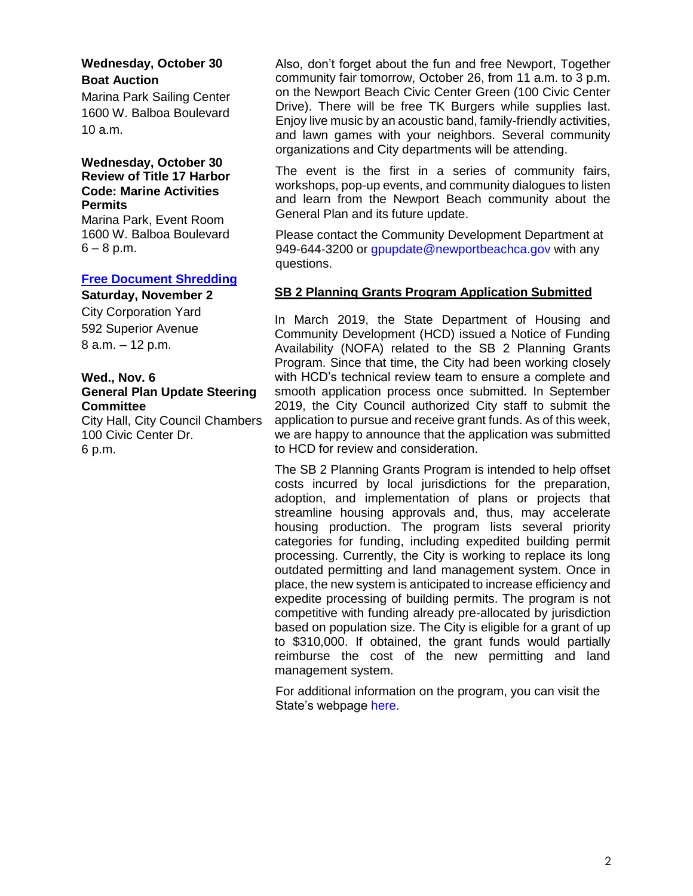# **Wednesday, October 30 Boat Auction**

Marina Park Sailing Center 1600 W. Balboa Boulevard 10 a.m.

#### **Wednesday, October 30 Review of Title 17 Harbor Code: Marine Activities Permits**

Marina Park, Event Room 1600 W. Balboa Boulevard  $6 - 8$  p.m.

#### **[Free Document Shredding](https://www.newportbeachca.gov/Home/Components/Calendar/Event/58863/72?curm=11&cury=2019)**

**Saturday, November 2**

City Corporation Yard 592 Superior Avenue 8 a.m. – 12 p.m.

#### **Wed., Nov. 6 General Plan Update Steering Committee**

City Hall, City Council Chambers 100 Civic Center Dr. 6 p.m.

Also, don't forget about the fun and free Newport, Together community fair tomorrow, October 26, from 11 a.m. to 3 p.m. on the Newport Beach Civic Center Green (100 Civic Center Drive). There will be free TK Burgers while supplies last. Enjoy live music by an acoustic band, family-friendly activities, and lawn games with your neighbors. Several community organizations and City departments will be attending.

The event is the first in a series of community fairs. workshops, pop-up events, and community dialogues to listen and learn from the Newport Beach community about the General Plan and its future update.

Please contact the Community Development Department at 949-644-3200 or [gpupdate@newportbeachca.gov](mailto:gpupdate@newportbeachca.gov) with any questions.

#### **SB 2 Planning Grants Program Application Submitted**

In March 2019, the State Department of Housing and Community Development (HCD) issued a Notice of Funding Availability (NOFA) related to the SB 2 Planning Grants Program. Since that time, the City had been working closely with HCD's technical review team to ensure a complete and smooth application process once submitted. In September 2019, the City Council authorized City staff to submit the application to pursue and receive grant funds. As of this week, we are happy to announce that the application was submitted to HCD for review and consideration.

The SB 2 Planning Grants Program is intended to help offset costs incurred by local jurisdictions for the preparation, adoption, and implementation of plans or projects that streamline housing approvals and, thus, may accelerate housing production. The program lists several priority categories for funding, including expedited building permit processing. Currently, the City is working to replace its long outdated permitting and land management system. Once in place, the new system is anticipated to increase efficiency and expedite processing of building permits. The program is not competitive with funding already pre-allocated by jurisdiction based on population size. The City is eligible for a grant of up to \$310,000. If obtained, the grant funds would partially reimburse the cost of the new permitting and land management system.

For additional information on the program, you can visit the State's webpage [here.](http://www.hcd.ca.gov/grants-funding/active-funding/planning-grants.shtml)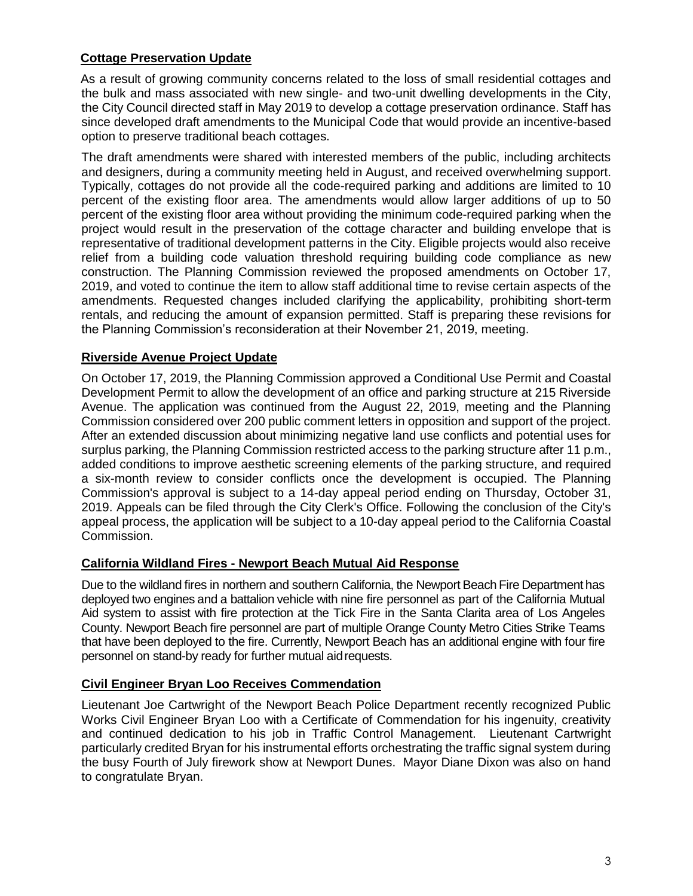#### **Cottage Preservation Update**

As a result of growing community concerns related to the loss of small residential cottages and the bulk and mass associated with new single- and two-unit dwelling developments in the City, the City Council directed staff in May 2019 to develop a cottage preservation ordinance. Staff has since developed draft amendments to the Municipal Code that would provide an incentive-based option to preserve traditional beach cottages.

The draft amendments were shared with interested members of the public, including architects and designers, during a community meeting held in August, and received overwhelming support. Typically, cottages do not provide all the code-required parking and additions are limited to 10 percent of the existing floor area. The amendments would allow larger additions of up to 50 percent of the existing floor area without providing the minimum code-required parking when the project would result in the preservation of the cottage character and building envelope that is representative of traditional development patterns in the City. Eligible projects would also receive relief from a building code valuation threshold requiring building code compliance as new construction. The Planning Commission reviewed the proposed amendments on October 17, 2019, and voted to continue the item to allow staff additional time to revise certain aspects of the amendments. Requested changes included clarifying the applicability, prohibiting short-term rentals, and reducing the amount of expansion permitted. Staff is preparing these revisions for the Planning Commission's reconsideration at their November 21, 2019, meeting.

#### **Riverside Avenue Project Update**

On October 17, 2019, the Planning Commission approved a Conditional Use Permit and Coastal Development Permit to allow the development of an office and parking structure at 215 Riverside Avenue. The application was continued from the August 22, 2019, meeting and the Planning Commission considered over 200 public comment letters in opposition and support of the project. After an extended discussion about minimizing negative land use conflicts and potential uses for surplus parking, the Planning Commission restricted access to the parking structure after 11 p.m., added conditions to improve aesthetic screening elements of the parking structure, and required a six-month review to consider conflicts once the development is occupied. The Planning Commission's approval is subject to a 14-day appeal period ending on Thursday, October 31, 2019. Appeals can be filed through the City Clerk's Office. Following the conclusion of the City's appeal process, the application will be subject to a 10-day appeal period to the California Coastal Commission.

#### **California Wildland Fires - Newport Beach Mutual Aid Response**

Due to the wildland fires in northern and southern California, the Newport Beach Fire Department has deployed two engines and a battalion vehicle with nine fire personnel as part of the California Mutual Aid system to assist with fire protection at the Tick Fire in the Santa Clarita area of Los Angeles County. Newport Beach fire personnel are part of multiple Orange County Metro Cities Strike Teams that have been deployed to the fire. Currently, Newport Beach has an additional engine with four fire personnel on stand-by ready for further mutual aidrequests.

#### **Civil Engineer Bryan Loo Receives Commendation**

Lieutenant Joe Cartwright of the Newport Beach Police Department recently recognized Public Works Civil Engineer Bryan Loo with a Certificate of Commendation for his ingenuity, creativity and continued dedication to his job in Traffic Control Management. Lieutenant Cartwright particularly credited Bryan for his instrumental efforts orchestrating the traffic signal system during the busy Fourth of July firework show at Newport Dunes. Mayor Diane Dixon was also on hand to congratulate Bryan.